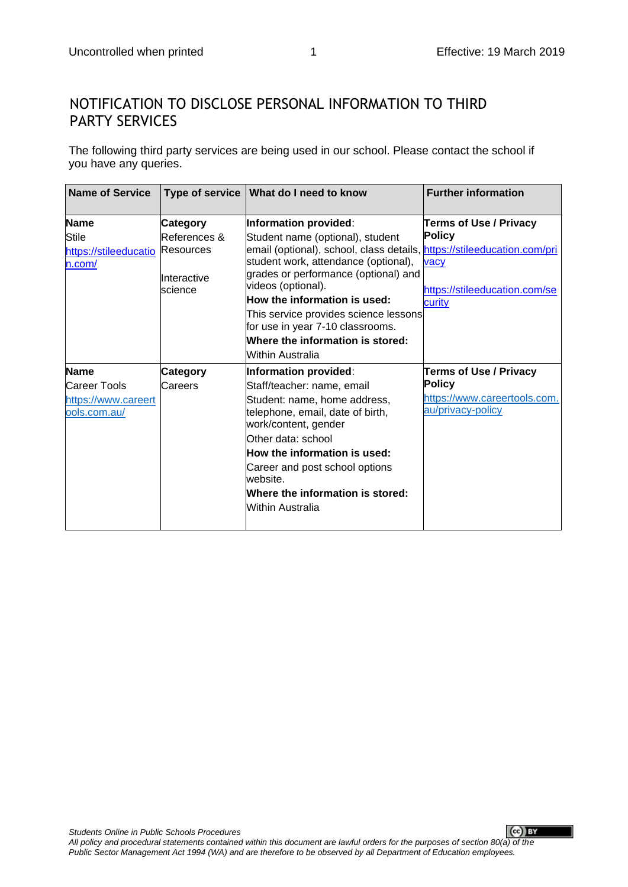## NOTIFICATION TO DISCLOSE PERSONAL INFORMATION TO THIRD PARTY SERVICES

The following third party services are being used in our school. Please contact the school if you have any queries.

| <b>Name of Service</b>                                             |                                                                 | Type of service   What do I need to know                                                                                                                                                                                                                                                                                                                                                                        | <b>Further information</b>                                                                          |
|--------------------------------------------------------------------|-----------------------------------------------------------------|-----------------------------------------------------------------------------------------------------------------------------------------------------------------------------------------------------------------------------------------------------------------------------------------------------------------------------------------------------------------------------------------------------------------|-----------------------------------------------------------------------------------------------------|
| <b>Name</b><br><b>Stile</b><br>https://stileeducatio<br>n.com/     | Category<br>References &<br>Resources<br>Interactive<br>science | Information provided:<br>Student name (optional), student<br>email (optional), school, class details, https://stileeducation.com/pri<br>student work, attendance (optional),<br>grades or performance (optional) and<br>videos (optional).<br>How the information is used:<br>This service provides science lessons<br>for use in year 7-10 classrooms.<br>Where the information is stored:<br>Within Australia | <b>Terms of Use / Privacy</b><br><b>Policy</b><br>vacy<br>https://stileeducation.com/se<br>curity   |
| <b>Name</b><br>Career Tools<br>https://www.careert<br>ools.com.au/ | Category<br>Careers                                             | Information provided:<br>Staff/teacher: name, email<br>Student: name, home address,<br>telephone, email, date of birth,<br>work/content, gender<br>Other data: school<br>How the information is used:<br>Career and post school options<br>website.<br>Where the information is stored:<br>Within Australia                                                                                                     | <b>Terms of Use / Privacy</b><br><b>Policy</b><br>https://www.careertools.com.<br>au/privacy-policy |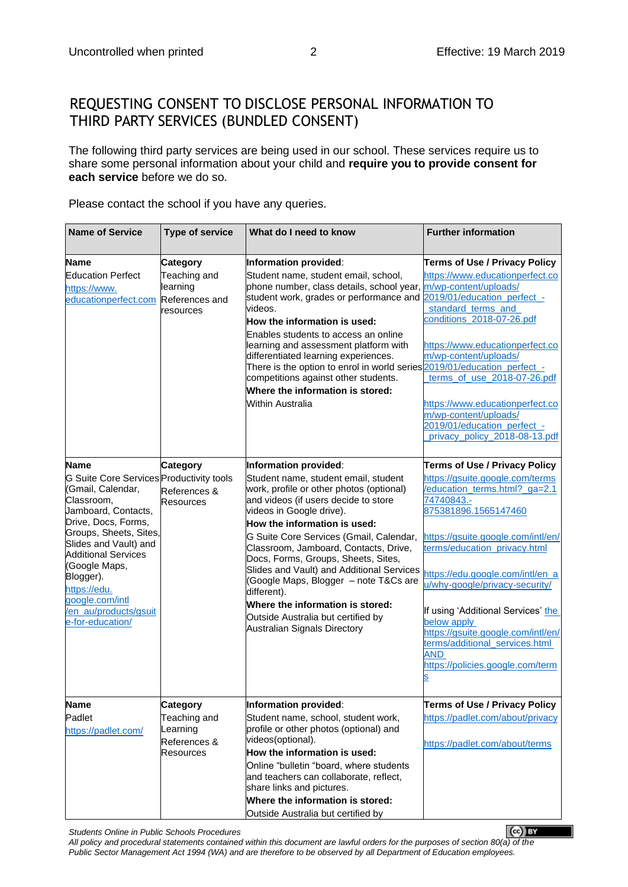## REQUESTING CONSENT TO DISCLOSE PERSONAL INFORMATION TO THIRD PARTY SERVICES (BUNDLED CONSENT)

The following third party services are being used in our school. These services require us to share some personal information about your child and **require you to provide consent for each service** before we do so.

Please contact the school if you have any queries.

| <b>Name of Service</b>                                                                                                                                                                                                                                                                                                                  | <b>Type of service</b>                                                   | What do I need to know                                                                                                                                                                                                                                                                                                                                                                                                                                                                                                                                  | <b>Further information</b>                                                                                                                                                                                                                                                                                                                                                                                                                                                |
|-----------------------------------------------------------------------------------------------------------------------------------------------------------------------------------------------------------------------------------------------------------------------------------------------------------------------------------------|--------------------------------------------------------------------------|---------------------------------------------------------------------------------------------------------------------------------------------------------------------------------------------------------------------------------------------------------------------------------------------------------------------------------------------------------------------------------------------------------------------------------------------------------------------------------------------------------------------------------------------------------|---------------------------------------------------------------------------------------------------------------------------------------------------------------------------------------------------------------------------------------------------------------------------------------------------------------------------------------------------------------------------------------------------------------------------------------------------------------------------|
| <b>Name</b><br><b>Education Perfect</b><br>https://www.<br>educationperfect.com                                                                                                                                                                                                                                                         | Category<br>Teaching and<br>learning<br>References and<br>resources      | Information provided:<br>Student name, student email, school,<br>phone number, class details, school year,<br>student work, grades or performance and<br>videos.<br>How the information is used:<br>Enables students to access an online<br>learning and assessment platform with<br>differentiated learning experiences.<br>There is the option to enrol in world series 2019/01/education perfect -<br>competitions against other students.<br>Where the information is stored:<br>Within Australia                                                   | <b>Terms of Use / Privacy Policy</b><br>https://www.educationperfect.co<br>m/wp-content/uploads/<br>2019/01/education_perfect -<br>standard terms and<br>conditions 2018-07-26.pdf<br>https://www.educationperfect.co<br>m/wp-content/uploads/<br>terms_of_use_2018-07-26.pdf<br>https://www.educationperfect.co<br>m/wp-content/uploads/<br>2019/01/education_perfect_-<br>privacy policy 2018-08-13.pdf                                                                 |
| <b>Name</b><br>G Suite Core Services Productivity tools<br>(Gmail, Calendar,<br>Classroom,<br>Jamboard, Contacts,<br>Drive, Docs, Forms,<br>Groups, Sheets, Sites,<br>Slides and Vault) and<br><b>Additional Services</b><br>(Google Maps,<br>Blogger).<br>https://edu.<br>google.com/intl<br>/en_au/products/gsuit<br>e-for-education/ | <b>Category</b><br>References &<br><b>Resources</b>                      | Information provided:<br>Student name, student email, student<br>work, profile or other photos (optional)<br>and videos (if users decide to store<br>videos in Google drive).<br>How the information is used:<br>G Suite Core Services (Gmail, Calendar,<br>Classroom, Jamboard, Contacts, Drive,<br>Docs, Forms, Groups, Sheets, Sites,<br>Slides and Vault) and Additional Services<br>(Google Maps, Blogger - note T&Cs are<br>different).<br>Where the information is stored:<br>Outside Australia but certified by<br>Australian Signals Directory | <b>Terms of Use / Privacy Policy</b><br>https://gsuite.google.com/terms<br>/education_terms.html?_ga=2.1<br>74740843.-<br>875381896.1565147460<br>https://gsuite.google.com/intl/en/<br>terms/education_privacy.html<br>https://edu.google.com/intl/en_a<br>u/why-google/privacy-security/<br>If using 'Additional Services' the<br>below apply<br>https://gsuite.google.com/intl/en/<br>terms/additional services.html<br><b>AND</b><br>https://policies.google.com/term |
| <b>Name</b><br>Padlet<br>https://padlet.com/                                                                                                                                                                                                                                                                                            | Category<br>Teaching and<br>Learning<br>References &<br><b>Resources</b> | Information provided:<br>Student name, school, student work,<br>profile or other photos (optional) and<br>videos(optional).<br>How the information is used:<br>Online "bulletin "board, where students<br>and teachers can collaborate, reflect,<br>share links and pictures.<br>Where the information is stored:<br>Outside Australia but certified by                                                                                                                                                                                                 | <b>Terms of Use / Privacy Policy</b><br>https://padlet.com/about/privacy<br>https://padlet.com/about/terms                                                                                                                                                                                                                                                                                                                                                                |

*Students Online in Public Schools Procedures*

 $(cc)$  EY *All policy and procedural statements contained within this document are lawful orders for the purposes of section 80(a) of the Public Sector Management Act 1994 (WA) and are therefore to be observed by all Department of Education employees.*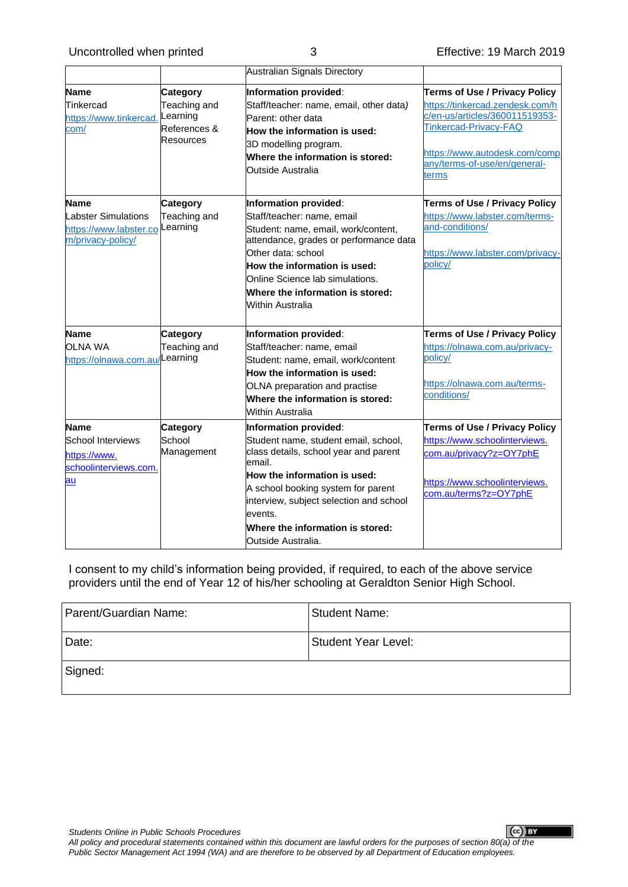|                                                                                 |                                                                   | Australian Signals Directory                                                                                                                                                                                                                                                                           |                                                                                                                                                                                                              |
|---------------------------------------------------------------------------------|-------------------------------------------------------------------|--------------------------------------------------------------------------------------------------------------------------------------------------------------------------------------------------------------------------------------------------------------------------------------------------------|--------------------------------------------------------------------------------------------------------------------------------------------------------------------------------------------------------------|
| Name<br>Tinkercad<br>https://www.tinkercad.<br>com/                             | Category<br>Teaching and<br>Learning<br>References &<br>Resources | Information provided:<br>Staff/teacher: name, email, other data)<br>Parent: other data<br>How the information is used:<br>3D modelling program.<br>Where the information is stored:<br><b>Outside Australia</b>                                                                                        | <b>Terms of Use / Privacy Policy</b><br>https://tinkercad.zendesk.com/h<br>c/en-us/articles/360011519353-<br>Tinkercad-Privacy-FAQ<br>https://www.autodesk.com/comp<br>any/terms-of-use/en/general-<br>terms |
| Name<br>Labster Simulations<br>https://www.labster.co<br>m/privacy-policy/      | <b>Category</b><br>Teaching and<br>Learning                       | Information provided:<br>Staff/teacher: name, email<br>Student: name, email, work/content,<br>attendance, grades or performance data<br>Other data: school<br>How the information is used:<br>Online Science lab simulations.<br>Where the information is stored:<br><b>Within Australia</b>           | <b>Terms of Use / Privacy Policy</b><br>https://www.labster.com/terms-<br>and-conditions/<br>https://www.labster.com/privacy-<br>policy/                                                                     |
| <b>Name</b><br>OLNA WA<br>https://olnawa.com.au                                 | <b>Category</b><br>Teaching and<br>Learning                       | Information provided:<br>Staff/teacher: name, email<br>Student: name, email, work/content<br>How the information is used:<br>OLNA preparation and practise<br>Where the information is stored:<br><b>Within Australia</b>                                                                              | <b>Terms of Use / Privacy Policy</b><br>https://olnawa.com.au/privacy-<br>policy/<br>https://olnawa.com.au/terms-<br>conditions/                                                                             |
| <b>Name</b><br>School Interviews<br>https://www.<br>schoolinterviews.com.<br>au | Category<br>School<br>Management                                  | Information provided:<br>Student name, student email, school,<br>class details, school year and parent<br>email.<br>How the information is used:<br>A school booking system for parent<br>interview, subject selection and school<br>events.<br>Where the information is stored:<br>Outside Australia. | <b>Terms of Use / Privacy Policy</b><br>https://www.schoolinterviews.<br>com.au/privacy?z=OY7phE<br>https://www.schoolinterviews.<br>com.au/terms?z=OY7phE                                                   |

I consent to my child's information being provided, if required, to each of the above service providers until the end of Year 12 of his/her schooling at Geraldton Senior High School.

| Parent/Guardian Name: | <b>Student Name:</b> |
|-----------------------|----------------------|
| Date:                 | Student Year Level:  |
| Signed:               |                      |